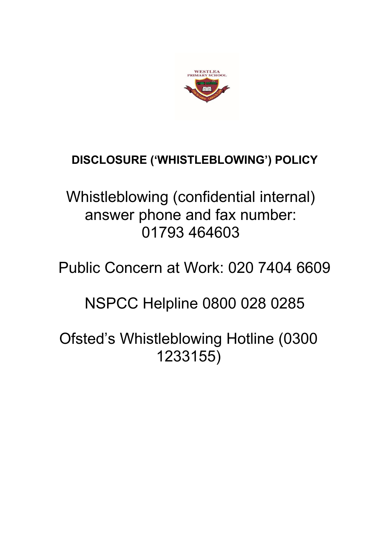

# **DISCLOSURE ('WHISTLEBLOWING') POLICY**

Whistleblowing (confidential internal) answer phone and fax number: 01793 464603

Public Concern at Work: 020 7404 6609

NSPCC Helpline 0800 028 0285

Ofsted's Whistleblowing Hotline (0300 1233155)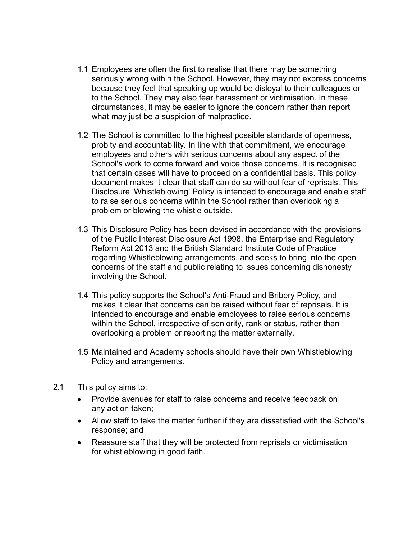- 1.1 Employees are often the first to realise that there may be something seriously wrong within the School. However, they may not express concerns because they feel that speaking up would be disloyal to their colleagues or to the School. They may also fear harassment or victimisation. In these circumstances, it may be easier to ignore the concern rather than report what may just be a suspicion of malpractice.
- 1.2 The School is committed to the highest possible standards of openness, probity and accountability. In line with that commitment, we encourage employees and others with serious concerns about any aspect of the School's work to come forward and voice those concerns. It is recognised that certain cases will have to proceed on a confidential basis. This policy document makes it clear that staff can do so without fear of reprisals. This Disclosure 'Whistleblowing' Policy is intended to encourage and enable staff to raise serious concerns within the School rather than overlooking a problem or blowing the whistle outside.
- 1.3 This Disclosure Policy has been devised in accordance with the provisions of the Public Interest Disclosure Act 1998, the Enterprise and Regulatory Reform Act 2013 and the British Standard Institute Code of Practice regarding Whistleblowing arrangements, and seeks to bring into the open concerns of the staff and public relating to issues concerning dishonesty involving the School.
- 1.4 This policy supports the School's Anti-Fraud and Bribery Policy, and makes it clear that concerns can be raised without fear of reprisals. It is intended to encourage and enable employees to raise serious concerns within the School, irrespective of seniority, rank or status, rather than overlooking a problem or reporting the matter externally.
- 1.5 Maintained and Academy schools should have their own Whistleblowing Policy and arrangements.
- 2.1 This policy aims to:
	- Provide avenues for staff to raise concerns and receive feedback on any action taken;
	- Allow staff to take the matter further if they are dissatisfied with the School's response; and
	- Reassure staff that they will be protected from reprisals or victimisation for whistleblowing in good faith.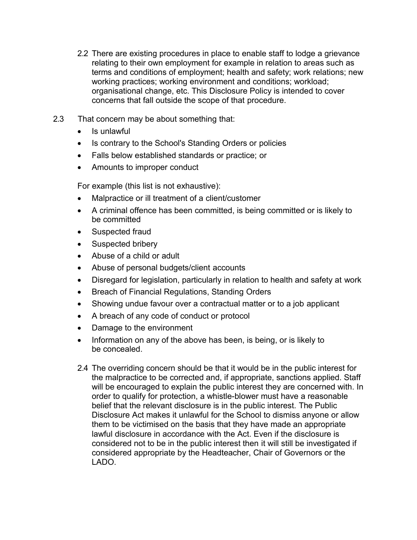- 2.2 There are existing procedures in place to enable staff to lodge a grievance relating to their own employment for example in relation to areas such as terms and conditions of employment; health and safety; work relations; new working practices; working environment and conditions; workload; organisational change, etc. This Disclosure Policy is intended to cover concerns that fall outside the scope of that procedure.
- 2.3 That concern may be about something that:
	- Is unlawful
	- Is contrary to the School's Standing Orders or policies
	- Falls below established standards or practice; or
	- Amounts to improper conduct

For example (this list is not exhaustive):

- Malpractice or ill treatment of a client/customer
- A criminal offence has been committed, is being committed or is likely to be committed
- Suspected fraud
- Suspected bribery
- Abuse of a child or adult
- Abuse of personal budgets/client accounts
- Disregard for legislation, particularly in relation to health and safety at work
- Breach of Financial Regulations, Standing Orders
- Showing undue favour over a contractual matter or to a job applicant
- A breach of any code of conduct or protocol
- Damage to the environment
- Information on any of the above has been, is being, or is likely to be concealed.
- 2.4 The overriding concern should be that it would be in the public interest for the malpractice to be corrected and, if appropriate, sanctions applied. Staff will be encouraged to explain the public interest they are concerned with. In order to qualify for protection, a whistle-blower must have a reasonable belief that the relevant disclosure is in the public interest. The Public Disclosure Act makes it unlawful for the School to dismiss anyone or allow them to be victimised on the basis that they have made an appropriate lawful disclosure in accordance with the Act. Even if the disclosure is considered not to be in the public interest then it will still be investigated if considered appropriate by the Headteacher, Chair of Governors or the LADO.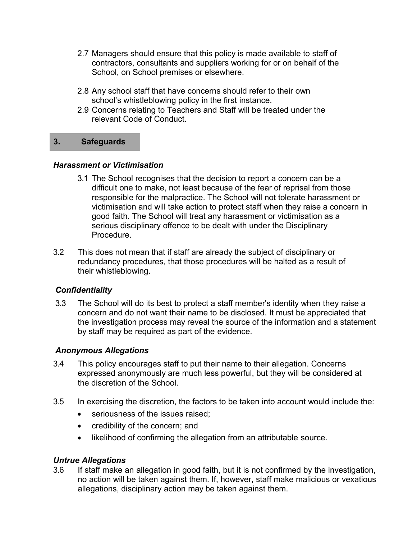- 2.7 Managers should ensure that this policy is made available to staff of contractors, consultants and suppliers working for or on behalf of the School, on School premises or elsewhere.
- 2.8 Any school staff that have concerns should refer to their own school's whistleblowing policy in the first instance.
- 2.9 Concerns relating to Teachers and Staff will be treated under the relevant Code of Conduct.

## **3. Safeguards**

## *Harassment or Victimisation*

- 3.1 The School recognises that the decision to report a concern can be a difficult one to make, not least because of the fear of reprisal from those responsible for the malpractice. The School will not tolerate harassment or victimisation and will take action to protect staff when they raise a concern in good faith. The School will treat any harassment or victimisation as a serious disciplinary offence to be dealt with under the Disciplinary Procedure.
- 3.2 This does not mean that if staff are already the subject of disciplinary or redundancy procedures, that those procedures will be halted as a result of their whistleblowing.

# *Confidentiality*

3.3 The School will do its best to protect a staff member's identity when they raise a concern and do not want their name to be disclosed. It must be appreciated that the investigation process may reveal the source of the information and a statement by staff may be required as part of the evidence.

# *Anonymous Allegations*

- 3.4 This policy encourages staff to put their name to their allegation. Concerns expressed anonymously are much less powerful, but they will be considered at the discretion of the School.
- 3.5 In exercising the discretion, the factors to be taken into account would include the:
	- seriousness of the issues raised;
	- credibility of the concern; and
	- likelihood of confirming the allegation from an attributable source.

# *Untrue Allegations*

3.6 If staff make an allegation in good faith, but it is not confirmed by the investigation, no action will be taken against them. If, however, staff make malicious or vexatious allegations, disciplinary action may be taken against them.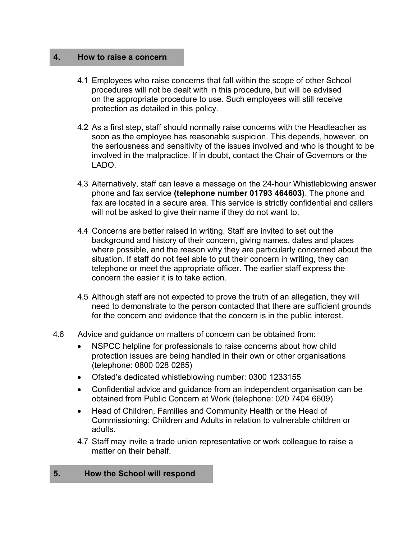## **4. How to raise a concern**

- 4.1 Employees who raise concerns that fall within the scope of other School procedures will not be dealt with in this procedure, but will be advised on the appropriate procedure to use. Such employees will still receive protection as detailed in this policy.
- 4.2 As a first step, staff should normally raise concerns with the Headteacher as soon as the employee has reasonable suspicion. This depends, however, on the seriousness and sensitivity of the issues involved and who is thought to be involved in the malpractice. If in doubt, contact the Chair of Governors or the LADO.
- 4.3 Alternatively, staff can leave a message on the 24-hour Whistleblowing answer phone and fax service **(telephone number 01793 464603)**. The phone and fax are located in a secure area. This service is strictly confidential and callers will not be asked to give their name if they do not want to.
- 4.4 Concerns are better raised in writing. Staff are invited to set out the background and history of their concern, giving names, dates and places where possible, and the reason why they are particularly concerned about the situation. If staff do not feel able to put their concern in writing, they can telephone or meet the appropriate officer. The earlier staff express the concern the easier it is to take action.
- 4.5 Although staff are not expected to prove the truth of an allegation, they will need to demonstrate to the person contacted that there are sufficient grounds for the concern and evidence that the concern is in the public interest.
- 4.6 Advice and guidance on matters of concern can be obtained from:
	- NSPCC helpline for professionals to raise concerns about how child protection issues are being handled in their own or other organisations (telephone: 0800 028 0285)
	- Ofsted's dedicated whistleblowing number: 0300 1233155
	- Confidential advice and guidance from an independent organisation can be obtained from Public Concern at Work (telephone: 020 7404 6609)
	- Head of Children, Families and Community Health or the Head of Commissioning: Children and Adults in relation to vulnerable children or adults.
	- 4.7 Staff may invite a trade union representative or work colleague to raise a matter on their behalf.

#### **5. How the School will respond**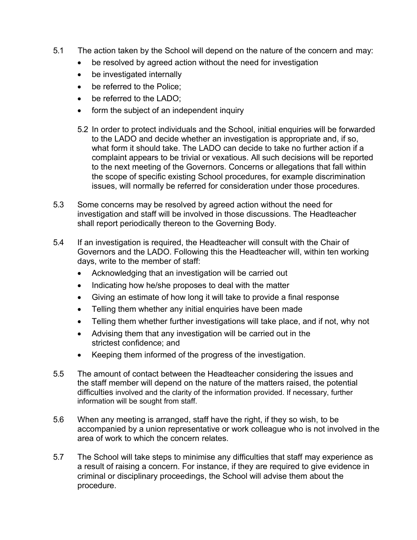- 5.1 The action taken by the School will depend on the nature of the concern and may:
	- be resolved by agreed action without the need for investigation
	- be investigated internally
	- be referred to the Police;
	- be referred to the LADO:
	- form the subject of an independent inquiry
	- 5.2 In order to protect individuals and the School, initial enquiries will be forwarded to the LADO and decide whether an investigation is appropriate and, if so, what form it should take. The LADO can decide to take no further action if a complaint appears to be trivial or vexatious. All such decisions will be reported to the next meeting of the Governors. Concerns or allegations that fall within the scope of specific existing School procedures, for example discrimination issues, will normally be referred for consideration under those procedures.
- 5.3 Some concerns may be resolved by agreed action without the need for investigation and staff will be involved in those discussions. The Headteacher shall report periodically thereon to the Governing Body.
- 5.4 If an investigation is required, the Headteacher will consult with the Chair of Governors and the LADO. Following this the Headteacher will, within ten working days, write to the member of staff:
	- Acknowledging that an investigation will be carried out
	- Indicating how he/she proposes to deal with the matter
	- Giving an estimate of how long it will take to provide a final response
	- Telling them whether any initial enquiries have been made
	- Telling them whether further investigations will take place, and if not, why not
	- Advising them that any investigation will be carried out in the strictest confidence; and
	- Keeping them informed of the progress of the investigation.
- 5.5 The amount of contact between the Headteacher considering the issues and the staff member will depend on the nature of the matters raised, the potential difficulties involved and the clarity of the information provided. If necessary, further information will be sought from staff.
- 5.6 When any meeting is arranged, staff have the right, if they so wish, to be accompanied by a union representative or work colleague who is not involved in the area of work to which the concern relates.
- 5.7 The School will take steps to minimise any difficulties that staff may experience as a result of raising a concern. For instance, if they are required to give evidence in criminal or disciplinary proceedings, the School will advise them about the procedure.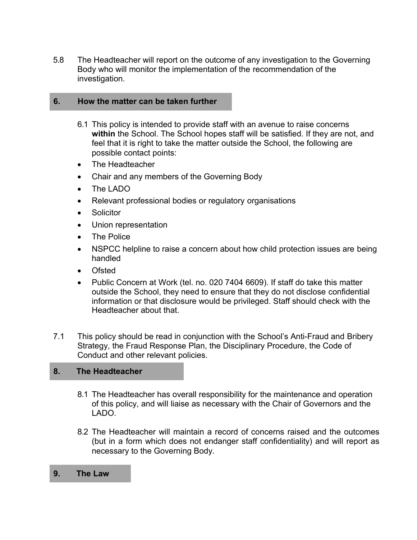5.8 The Headteacher will report on the outcome of any investigation to the Governing Body who will monitor the implementation of the recommendation of the investigation.

## **6. How the matter can be taken further**

- 6.1 This policy is intended to provide staff with an avenue to raise concerns **within** the School. The School hopes staff will be satisfied. If they are not, and feel that it is right to take the matter outside the School, the following are possible contact points:
- The Headteacher
- Chair and any members of the Governing Body
- The LADO
- Relevant professional bodies or regulatory organisations
- Solicitor
- Union representation
- The Police
- NSPCC helpline to raise a concern about how child protection issues are being handled
- **Ofsted**
- Public Concern at Work (tel. no. 020 7404 6609). If staff do take this matter outside the School, they need to ensure that they do not disclose confidential information or that disclosure would be privileged. Staff should check with the Headteacher about that.
- 7.1 This policy should be read in conjunction with the School's Anti-Fraud and Bribery Strategy, the Fraud Response Plan, the Disciplinary Procedure, the Code of Conduct and other relevant policies.

## **8. The Headteacher**

- 8.1 The Headteacher has overall responsibility for the maintenance and operation of this policy, and will liaise as necessary with the Chair of Governors and the LADO.
- 8.2 The Headteacher will maintain a record of concerns raised and the outcomes (but in a form which does not endanger staff confidentiality) and will report as necessary to the Governing Body.
- **9. The Law**